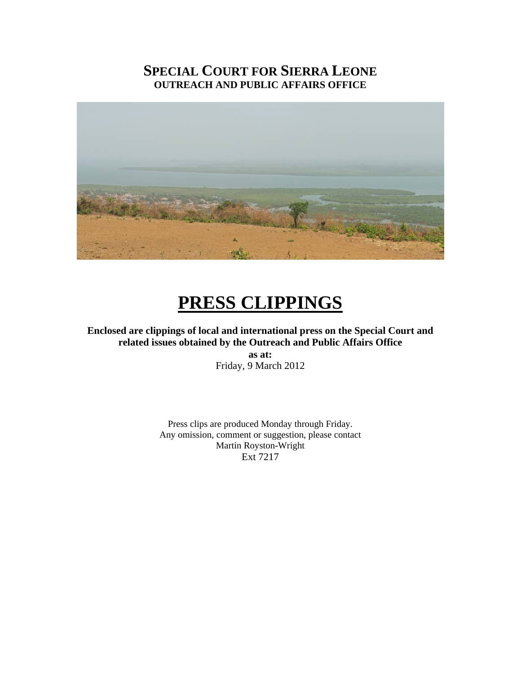## **SPECIAL COURT FOR SIERRA LEONE OUTREACH AND PUBLIC AFFAIRS OFFICE**



# **PRESS CLIPPINGS**

**Enclosed are clippings of local and international press on the Special Court and related issues obtained by the Outreach and Public Affairs Office as at:**  Friday, 9 March 2012

> Press clips are produced Monday through Friday. Any omission, comment or suggestion, please contact Martin Royston-Wright Ext 7217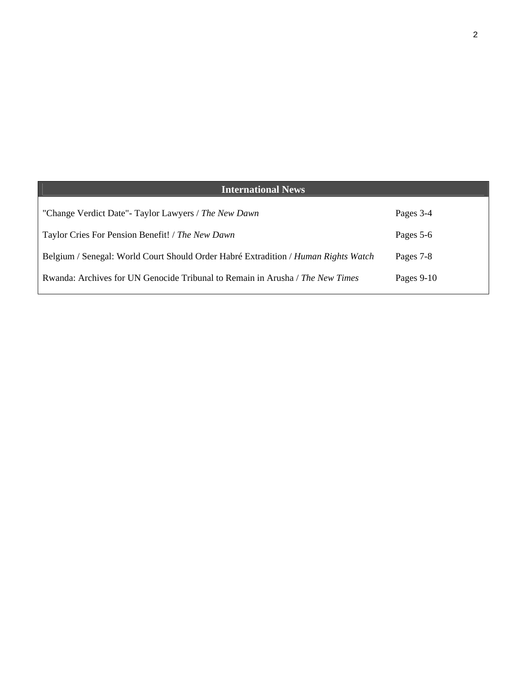| <b>International News</b>                                                          |              |
|------------------------------------------------------------------------------------|--------------|
| "Change Verdict Date"- Taylor Lawyers / The New Dawn                               | Pages 3-4    |
| Taylor Cries For Pension Benefit! / The New Dawn                                   | Pages 5-6    |
| Belgium / Senegal: World Court Should Order Habré Extradition / Human Rights Watch | Pages 7-8    |
| Rwanda: Archives for UN Genocide Tribunal to Remain in Arusha / The New Times      | Pages $9-10$ |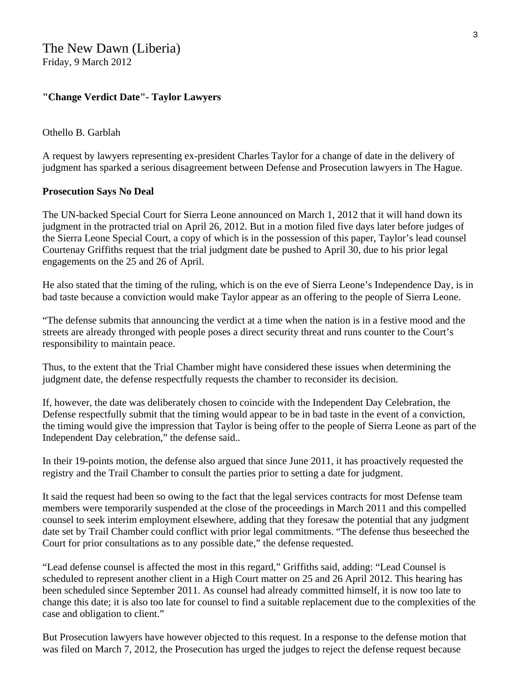#### **"Change Verdict Date"- Taylor Lawyers**

#### Othello B. Garblah

A request by lawyers representing ex-president Charles Taylor for a change of date in the delivery of judgment has sparked a serious disagreement between Defense and Prosecution lawyers in The Hague.

#### **Prosecution Says No Deal**

The UN-backed Special Court for Sierra Leone announced on March 1, 2012 that it will hand down its judgment in the protracted trial on April 26, 2012. But in a motion filed five days later before judges of the Sierra Leone Special Court, a copy of which is in the possession of this paper, Taylor's lead counsel Courtenay Griffiths request that the trial judgment date be pushed to April 30, due to his prior legal engagements on the 25 and 26 of April.

He also stated that the timing of the ruling, which is on the eve of Sierra Leone's Independence Day, is in bad taste because a conviction would make Taylor appear as an offering to the people of Sierra Leone.

"The defense submits that announcing the verdict at a time when the nation is in a festive mood and the streets are already thronged with people poses a direct security threat and runs counter to the Court's responsibility to maintain peace.

Thus, to the extent that the Trial Chamber might have considered these issues when determining the judgment date, the defense respectfully requests the chamber to reconsider its decision.

If, however, the date was deliberately chosen to coincide with the Independent Day Celebration, the Defense respectfully submit that the timing would appear to be in bad taste in the event of a conviction, the timing would give the impression that Taylor is being offer to the people of Sierra Leone as part of the Independent Day celebration," the defense said..

In their 19-points motion, the defense also argued that since June 2011, it has proactively requested the registry and the Trail Chamber to consult the parties prior to setting a date for judgment.

It said the request had been so owing to the fact that the legal services contracts for most Defense team members were temporarily suspended at the close of the proceedings in March 2011 and this compelled counsel to seek interim employment elsewhere, adding that they foresaw the potential that any judgment date set by Trail Chamber could conflict with prior legal commitments. "The defense thus beseeched the Court for prior consultations as to any possible date," the defense requested.

"Lead defense counsel is affected the most in this regard," Griffiths said, adding: "Lead Counsel is scheduled to represent another client in a High Court matter on 25 and 26 April 2012. This hearing has been scheduled since September 2011. As counsel had already committed himself, it is now too late to change this date; it is also too late for counsel to find a suitable replacement due to the complexities of the case and obligation to client."

But Prosecution lawyers have however objected to this request. In a response to the defense motion that was filed on March 7, 2012, the Prosecution has urged the judges to reject the defense request because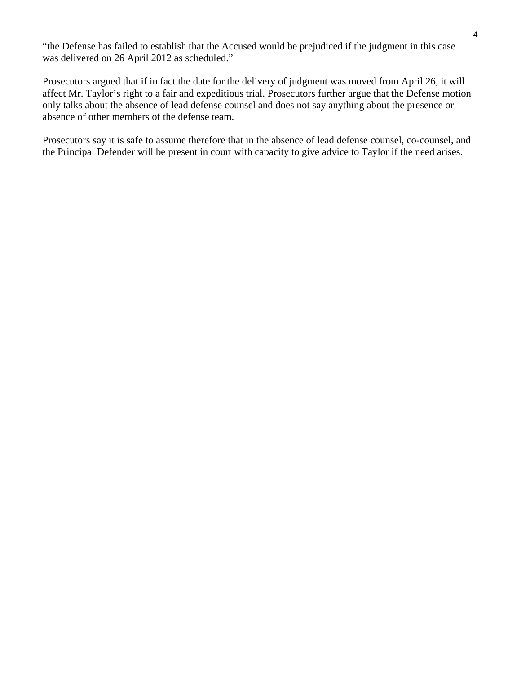"the Defense has failed to establish that the Accused would be prejudiced if the judgment in this case was delivered on 26 April 2012 as scheduled."

Prosecutors argued that if in fact the date for the delivery of judgment was moved from April 26, it will affect Mr. Taylor's right to a fair and expeditious trial. Prosecutors further argue that the Defense motion only talks about the absence of lead defense counsel and does not say anything about the presence or absence of other members of the defense team.

Prosecutors say it is safe to assume therefore that in the absence of lead defense counsel, co-counsel, and the Principal Defender will be present in court with capacity to give advice to Taylor if the need arises.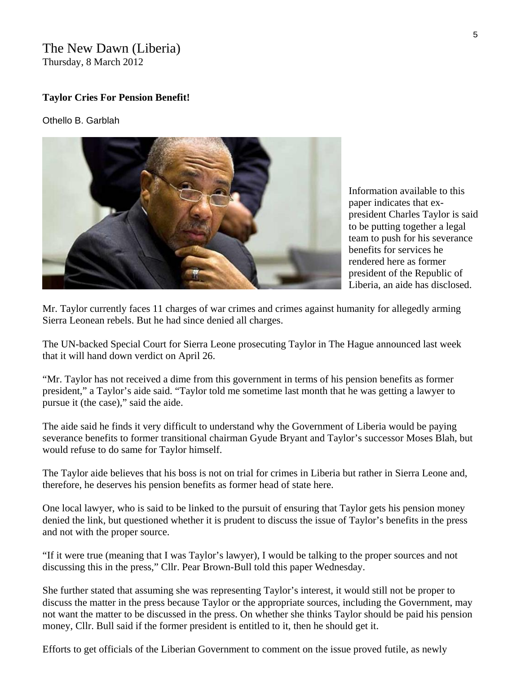#### The New Dawn (Liberia) Thursday, 8 March 2012

#### **Taylor Cries For Pension Benefit!**

#### Othello B. Garblah



Information available to this paper indicates that expresident Charles Taylor is s aid to be putting together a legal team to push for his severa nce benefits for services he rendered here as former president of the Republic of Liberia, an aide has disclosed.

Mr. Taylor currently faces 11 charges of war crimes and crimes against humanity for allegedly arming Sierra Leonean rebels. But he had since denied all charges.

The UN-backed Special Court for Sierra Leone prosecuting Taylor in The Hague announced last week that it will hand down verdict on April 26.

"Mr. Taylor has not received a dime from this government in terms of his pension benefits as former president," a Taylor's aide said. "Taylor told me sometime last month that he was getting a lawyer to pursue it (the case)," said the aide.

The aide said he finds it very difficult to understand why the Government of Liberia would be paying severance benefits to former transitional chairman Gyude Bryant and Taylor's successor Moses Blah, but would refuse to do same for Taylor himself.

The Taylor aide believes that his boss is not on trial for crimes in Liberia but rather in Sierra Leone and, therefore, he deserves his pension benefits as former head of state here.

One local lawyer, who is said to be linked to the pursuit of ensuring that Taylor gets his pension money denied the link, but questioned whether it is prudent to discuss the issue of Taylor's benefits in the press and not with the proper source.

"If it were true (meaning that I was Taylor's lawyer), I would be talking to the proper sources and not discussing this in the press," Cllr. Pear Brown-Bull told this paper Wednesday.

She further stated that assuming she was representing Taylor's interest, it would still not be proper to discuss the matter in the press because Taylor or the appropriate sources, including the Government, may not want the matter to be discussed in the press. On whether she thinks Taylor should be paid his pension money, Cllr. Bull said if the former president is entitled to it, then he should get it.

Efforts to get officials of the Liberian Government to comment on the issue proved futile, as newly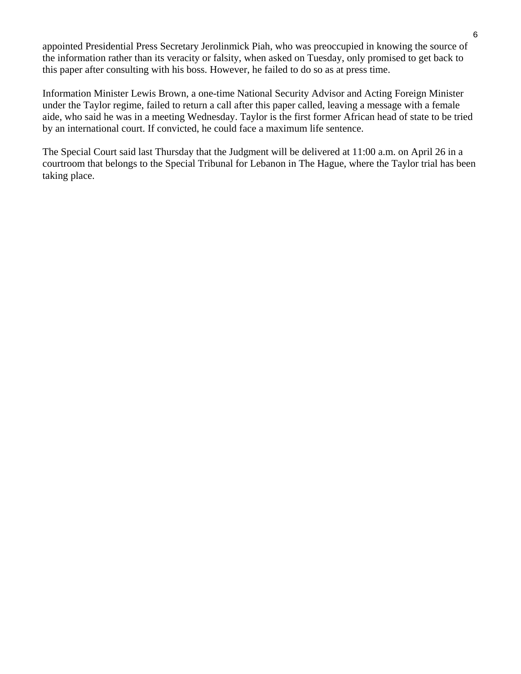appointed Presidential Press Secretary Jerolinmick Piah, who was preoccupied in knowing the source of the information rather than its veracity or falsity, when asked on Tuesday, only promised to get back to this paper after consulting with his boss. However, he failed to do so as at press time.

Information Minister Lewis Brown, a one-time National Security Advisor and Acting Foreign Minister under the Taylor regime, failed to return a call after this paper called, leaving a message with a female aide, who said he was in a meeting Wednesday. Taylor is the first former African head of state to be tried by an international court. If convicted, he could face a maximum life sentence.

The Special Court said last Thursday that the Judgment will be delivered at 11:00 a.m. on April 26 in a courtroom that belongs to the Special Tribunal for Lebanon in The Hague, where the Taylor trial has been taking place.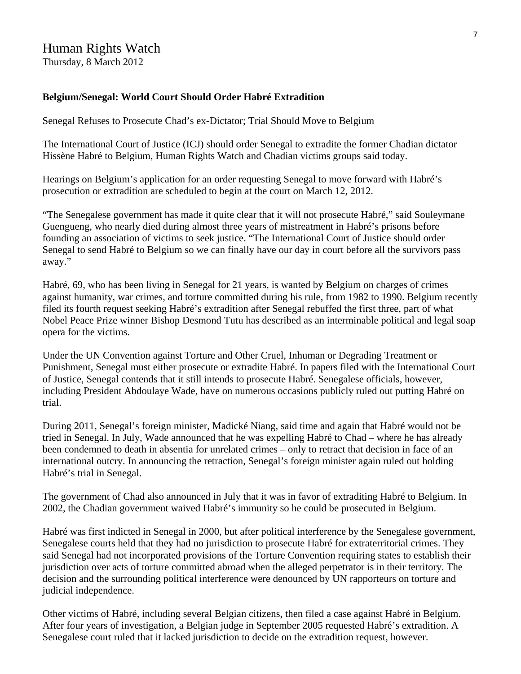### Human Rights Watch

Thursday, 8 March 2012

#### **Belgium/Senegal: World Court Should Order Habré Extradition**

Senegal Refuses to Prosecute Chad's ex-Dictator; Trial Should Move to Belgium

The International Court of Justice (ICJ) should order Senegal to extradite the former Chadian dictator Hissène Habré to Belgium, Human Rights Watch and Chadian victims groups said today.

Hearings on Belgium's application for an order requesting Senegal to move forward with Habré's prosecution or extradition are scheduled to begin at the court on March 12, 2012.

"The Senegalese government has made it quite clear that it will not prosecute Habré," said Souleymane Guengueng, who nearly died during almost three years of mistreatment in Habré's prisons before founding an association of victims to seek justice. "The International Court of Justice should order Senegal to send Habré to Belgium so we can finally have our day in court before all the survivors pass away."

Habré, 69, who has been living in Senegal for 21 years, is wanted by Belgium on charges of crimes against humanity, war crimes, and torture committed during his rule, from 1982 to 1990. Belgium recently filed its fourth request seeking Habré's extradition after Senegal rebuffed the first three, part of what Nobel Peace Prize winner Bishop Desmond Tutu has described as an interminable political and legal soap opera for the victims.

Under the UN Convention against Torture and Other Cruel, Inhuman or Degrading Treatment or Punishment, Senegal must either prosecute or extradite Habré. In papers filed with the International Court of Justice, Senegal contends that it still intends to prosecute Habré. Senegalese officials, however, including President Abdoulaye Wade, have on numerous occasions publicly ruled out putting Habré on trial.

During 2011, Senegal's foreign minister, Madické Niang, said time and again that Habré would not be tried in Senegal. In July, Wade announced that he was expelling Habré to Chad – where he has already been condemned to death in absentia for unrelated crimes – only to retract that decision in face of an international outcry. In announcing the retraction, Senegal's foreign minister again ruled out holding Habré's trial in Senegal.

The government of Chad also announced in July that it was in favor of extraditing Habré to Belgium. In 2002, the Chadian government waived Habré's immunity so he could be prosecuted in Belgium.

Habré was first indicted in Senegal in 2000, but after political interference by the Senegalese government, Senegalese courts held that they had no jurisdiction to prosecute Habré for extraterritorial crimes. They said Senegal had not incorporated provisions of the Torture Convention requiring states to establish their jurisdiction over acts of torture committed abroad when the alleged perpetrator is in their territory. The decision and the surrounding political interference were denounced by UN rapporteurs on torture and judicial independence.

Other victims of Habré, including several Belgian citizens, then filed a case against Habré in Belgium. After four years of investigation, a Belgian judge in September 2005 requested Habré's extradition. A Senegalese court ruled that it lacked jurisdiction to decide on the extradition request, however.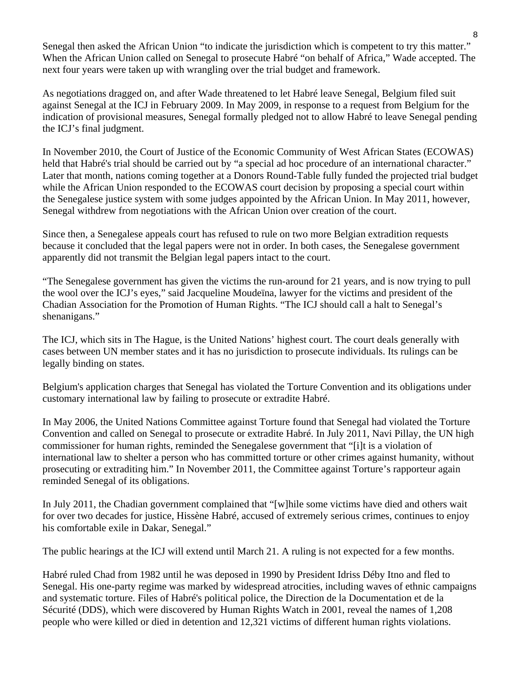Senegal then asked the African Union "to indicate the jurisdiction which is competent to try this matter." When the African Union called on Senegal to prosecute Habré "on behalf of Africa," Wade accepted. The next four years were taken up with wrangling over the trial budget and framework.

As negotiations dragged on, and after Wade threatened to let Habré leave Senegal, Belgium filed suit against Senegal at the ICJ in February 2009. In May 2009, in response to a request from Belgium for the indication of provisional measures, Senegal formally pledged not to allow Habré to leave Senegal pending the ICJ's final judgment.

In November 2010, the Court of Justice of the Economic Community of West African States (ECOWAS) held that Habré's trial should be carried out by "a special ad hoc procedure of an international character." Later that month, nations coming together at a Donors Round-Table fully funded the projected trial budget while the African Union responded to the ECOWAS court decision by proposing a special court within the Senegalese justice system with some judges appointed by the African Union. In May 2011, however, Senegal withdrew from negotiations with the African Union over creation of the court.

Since then, a Senegalese appeals court has refused to rule on two more Belgian extradition requests because it concluded that the legal papers were not in order. In both cases, the Senegalese government apparently did not transmit the Belgian legal papers intact to the court.

"The Senegalese government has given the victims the run-around for 21 years, and is now trying to pull the wool over the ICJ's eyes," said Jacqueline Moudeïna, lawyer for the victims and president of the Chadian Association for the Promotion of Human Rights. "The ICJ should call a halt to Senegal's shenanigans."

The ICJ, which sits in The Hague, is the United Nations' highest court. The court deals generally with cases between UN member states and it has no jurisdiction to prosecute individuals. Its rulings can be legally binding on states.

Belgium's application charges that Senegal has violated the Torture Convention and its obligations under customary international law by failing to prosecute or extradite Habré.

In May 2006, the United Nations Committee against Torture found that Senegal had violated the Torture Convention and called on Senegal to prosecute or extradite Habré. In July 2011, Navi Pillay, the UN high commissioner for human rights, reminded the Senegalese government that "[i]t is a violation of international law to shelter a person who has committed torture or other crimes against humanity, without prosecuting or extraditing him." In November 2011, the Committee against Torture's rapporteur again reminded Senegal of its obligations.

In July 2011, the Chadian government complained that "[w]hile some victims have died and others wait for over two decades for justice, Hissène Habré, accused of extremely serious crimes, continues to enjoy his comfortable exile in Dakar, Senegal."

The public hearings at the ICJ will extend until March 21. A ruling is not expected for a few months.

Habré ruled Chad from 1982 until he was deposed in 1990 by President Idriss Déby Itno and fled to Senegal. His one-party regime was marked by widespread atrocities, including waves of ethnic campaigns and systematic torture. Files of Habré's political police, the Direction de la Documentation et de la Sécurité (DDS), which were discovered by Human Rights Watch in 2001, reveal the names of 1,208 people who were killed or died in detention and 12,321 victims of different human rights violations.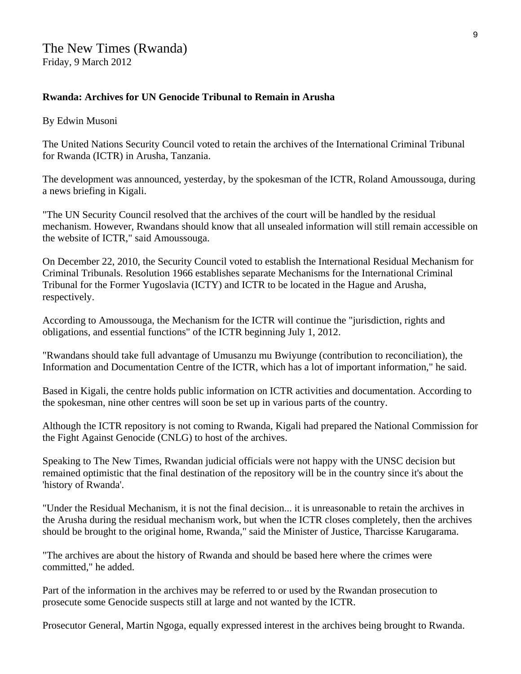#### **Rwanda: Archives for UN Genocide Tribunal to Remain in Arusha**

By Edwin Musoni

The United Nations Security Council voted to retain the archives of the International Criminal Tribunal for Rwanda (ICTR) in Arusha, Tanzania.

The development was announced, yesterday, by the spokesman of the ICTR, Roland Amoussouga, during a news briefing in Kigali.

"The UN Security Council resolved that the archives of the court will be handled by the residual mechanism. However, Rwandans should know that all unsealed information will still remain accessible on the website of ICTR," said Amoussouga.

On December 22, 2010, the Security Council voted to establish the International Residual Mechanism for Criminal Tribunals. Resolution 1966 establishes separate Mechanisms for the International Criminal Tribunal for the Former Yugoslavia (ICTY) and ICTR to be located in the Hague and Arusha, respectively.

According to Amoussouga, the Mechanism for the ICTR will continue the "jurisdiction, rights and obligations, and essential functions" of the ICTR beginning July 1, 2012.

"Rwandans should take full advantage of Umusanzu mu Bwiyunge (contribution to reconciliation), the Information and Documentation Centre of the ICTR, which has a lot of important information," he said.

Based in Kigali, the centre holds public information on ICTR activities and documentation. According to the spokesman, nine other centres will soon be set up in various parts of the country.

Although the ICTR repository is not coming to Rwanda, Kigali had prepared the National Commission for the Fight Against Genocide (CNLG) to host of the archives.

Speaking to The New Times, Rwandan judicial officials were not happy with the UNSC decision but remained optimistic that the final destination of the repository will be in the country since it's about the 'history of Rwanda'.

"Under the Residual Mechanism, it is not the final decision... it is unreasonable to retain the archives in the Arusha during the residual mechanism work, but when the ICTR closes completely, then the archives should be brought to the original home, Rwanda," said the Minister of Justice, Tharcisse Karugarama.

"The archives are about the history of Rwanda and should be based here where the crimes were committed," he added.

Part of the information in the archives may be referred to or used by the Rwandan prosecution to prosecute some Genocide suspects still at large and not wanted by the ICTR.

Prosecutor General, Martin Ngoga, equally expressed interest in the archives being brought to Rwanda.